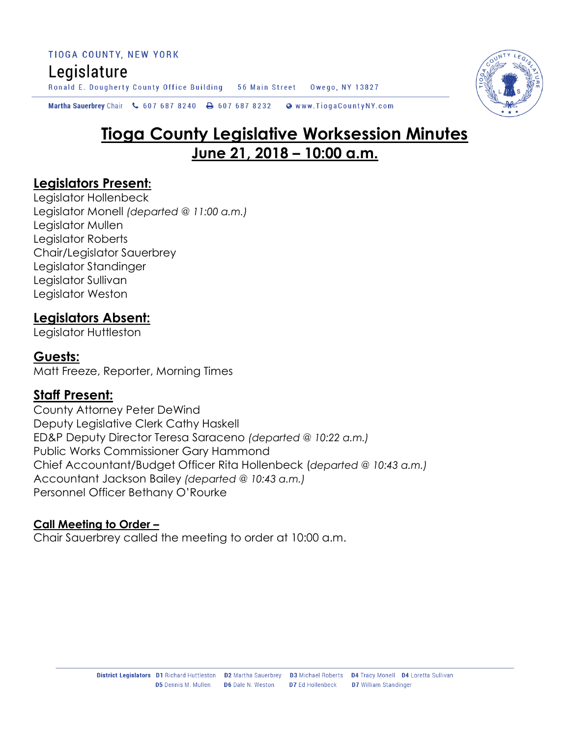Martha Sauerbrey Chair & 607 687 8240  $\rightarrow$  607 687 8232 Www.TiogaCountyNY.com

# **Tioga County Legislative Worksession Minutes June 21, 2018 – 10:00 a.m.**

#### **Legislators Present:**

Legislator Hollenbeck Legislator Monell *(departed @ 11:00 a.m.)* Legislator Mullen Legislator Roberts Chair/Legislator Sauerbrey Legislator Standinger Legislator Sullivan Legislator Weston

## **Legislators Absent:**

Legislator Huttleston

## **Guests:**

Matt Freeze, Reporter, Morning Times

## **Staff Present:**

County Attorney Peter DeWind Deputy Legislative Clerk Cathy Haskell ED&P Deputy Director Teresa Saraceno *(departed @ 10:22 a.m.)* Public Works Commissioner Gary Hammond Chief Accountant/Budget Officer Rita Hollenbeck (*departed @ 10:43 a.m.)* Accountant Jackson Bailey *(departed @ 10:43 a.m.)* Personnel Officer Bethany O'Rourke

#### **Call Meeting to Order –**

Chair Sauerbrey called the meeting to order at 10:00 a.m.

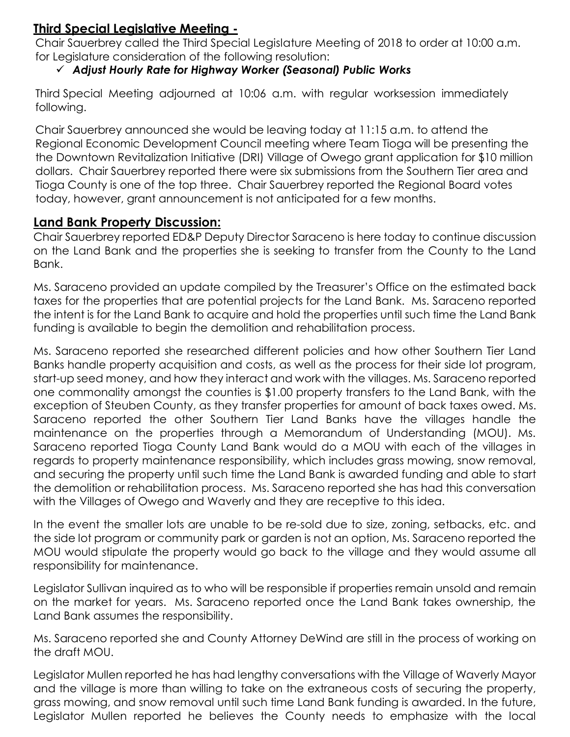### **Third Special Legislative Meeting -**

Chair Sauerbrey called the Third Special Legislature Meeting of 2018 to order at 10:00 a.m. for Legislature consideration of the following resolution:

#### *Adjust Hourly Rate for Highway Worker (Seasonal) Public Works*

Third Special Meeting adjourned at 10:06 a.m. with regular worksession immediately following.

Chair Sauerbrey announced she would be leaving today at 11:15 a.m. to attend the Regional Economic Development Council meeting where Team Tioga will be presenting the the Downtown Revitalization Initiative (DRI) Village of Owego grant application for \$10 million dollars. Chair Sauerbrey reported there were six submissions from the Southern Tier area and Tioga County is one of the top three. Chair Sauerbrey reported the Regional Board votes today, however, grant announcement is not anticipated for a few months.

#### **Land Bank Property Discussion:**

Chair Sauerbrey reported ED&P Deputy Director Saraceno is here today to continue discussion on the Land Bank and the properties she is seeking to transfer from the County to the Land Bank.

Ms. Saraceno provided an update compiled by the Treasurer's Office on the estimated back taxes for the properties that are potential projects for the Land Bank. Ms. Saraceno reported the intent is for the Land Bank to acquire and hold the properties until such time the Land Bank funding is available to begin the demolition and rehabilitation process.

Ms. Saraceno reported she researched different policies and how other Southern Tier Land Banks handle property acquisition and costs, as well as the process for their side lot program, start-up seed money, and how they interact and work with the villages. Ms. Saraceno reported one commonality amongst the counties is \$1.00 property transfers to the Land Bank, with the exception of Steuben County, as they transfer properties for amount of back taxes owed. Ms. Saraceno reported the other Southern Tier Land Banks have the villages handle the maintenance on the properties through a Memorandum of Understanding (MOU). Ms. Saraceno reported Tioga County Land Bank would do a MOU with each of the villages in regards to property maintenance responsibility, which includes grass mowing, snow removal, and securing the property until such time the Land Bank is awarded funding and able to start the demolition or rehabilitation process. Ms. Saraceno reported she has had this conversation with the Villages of Owego and Waverly and they are receptive to this idea.

In the event the smaller lots are unable to be re-sold due to size, zoning, setbacks, etc. and the side lot program or community park or garden is not an option, Ms. Saraceno reported the MOU would stipulate the property would go back to the village and they would assume all responsibility for maintenance.

Legislator Sullivan inquired as to who will be responsible if properties remain unsold and remain on the market for years. Ms. Saraceno reported once the Land Bank takes ownership, the Land Bank assumes the responsibility.

Ms. Saraceno reported she and County Attorney DeWind are still in the process of working on the draft MOU.

Legislator Mullen reported he has had lengthy conversations with the Village of Waverly Mayor and the village is more than willing to take on the extraneous costs of securing the property, grass mowing, and snow removal until such time Land Bank funding is awarded. In the future, Legislator Mullen reported he believes the County needs to emphasize with the local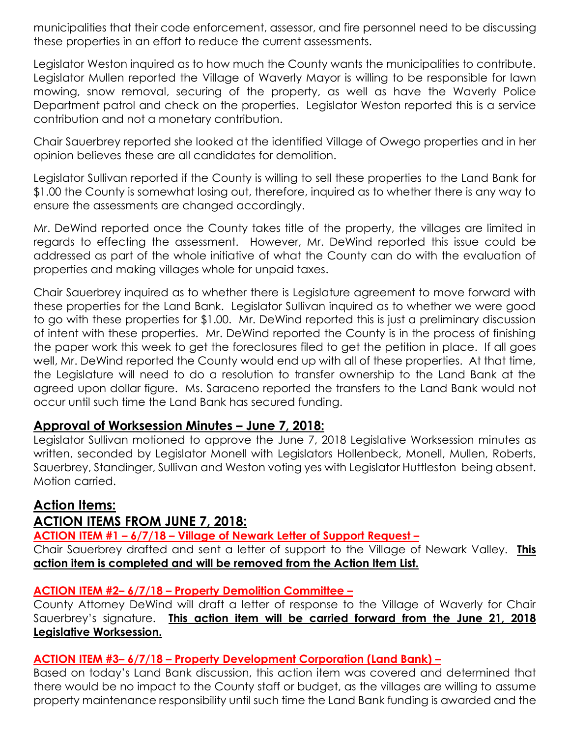municipalities that their code enforcement, assessor, and fire personnel need to be discussing these properties in an effort to reduce the current assessments.

Legislator Weston inquired as to how much the County wants the municipalities to contribute. Legislator Mullen reported the Village of Waverly Mayor is willing to be responsible for lawn mowing, snow removal, securing of the property, as well as have the Waverly Police Department patrol and check on the properties. Legislator Weston reported this is a service contribution and not a monetary contribution.

Chair Sauerbrey reported she looked at the identified Village of Owego properties and in her opinion believes these are all candidates for demolition.

Legislator Sullivan reported if the County is willing to sell these properties to the Land Bank for \$1.00 the County is somewhat losing out, therefore, inquired as to whether there is any way to ensure the assessments are changed accordingly.

Mr. DeWind reported once the County takes title of the property, the villages are limited in regards to effecting the assessment. However, Mr. DeWind reported this issue could be addressed as part of the whole initiative of what the County can do with the evaluation of properties and making villages whole for unpaid taxes.

Chair Sauerbrey inquired as to whether there is Legislature agreement to move forward with these properties for the Land Bank. Legislator Sullivan inquired as to whether we were good to go with these properties for \$1.00. Mr. DeWind reported this is just a preliminary discussion of intent with these properties. Mr. DeWind reported the County is in the process of finishing the paper work this week to get the foreclosures filed to get the petition in place. If all goes well, Mr. DeWind reported the County would end up with all of these properties. At that time, the Legislature will need to do a resolution to transfer ownership to the Land Bank at the agreed upon dollar figure. Ms. Saraceno reported the transfers to the Land Bank would not occur until such time the Land Bank has secured funding.

## **Approval of Worksession Minutes – June 7, 2018:**

Legislator Sullivan motioned to approve the June 7, 2018 Legislative Worksession minutes as written, seconded by Legislator Monell with Legislators Hollenbeck, Monell, Mullen, Roberts, Sauerbrey, Standinger, Sullivan and Weston voting yes with Legislator Huttleston being absent. Motion carried.

## **Action Items:**

## **ACTION ITEMS FROM JUNE 7, 2018:**

**ACTION ITEM #1 – 6/7/18 – Village of Newark Letter of Support Request –**

Chair Sauerbrey drafted and sent a letter of support to the Village of Newark Valley. **This action item is completed and will be removed from the Action Item List.** 

#### **ACTION ITEM #2– 6/7/18 – Property Demolition Committee –**

County Attorney DeWind will draft a letter of response to the Village of Waverly for Chair Sauerbrey's signature. **This action item will be carried forward from the June 21, 2018 Legislative Worksession.** 

#### **ACTION ITEM #3– 6/7/18 – Property Development Corporation (Land Bank) –**

Based on today's Land Bank discussion, this action item was covered and determined that there would be no impact to the County staff or budget, as the villages are willing to assume property maintenance responsibility until such time the Land Bank funding is awarded and the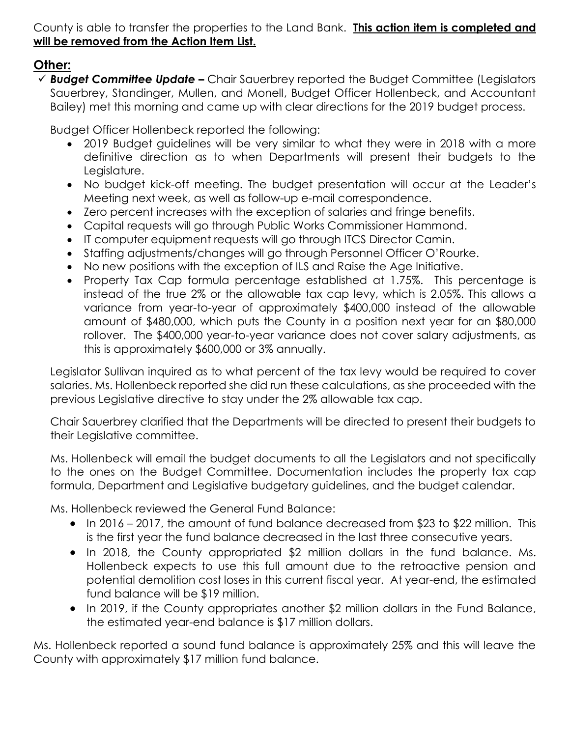County is able to transfer the properties to the Land Bank. **This action item is completed and will be removed from the Action Item List.**

## **Other:**

 *Budget Committee Update –* Chair Sauerbrey reported the Budget Committee (Legislators Sauerbrey, Standinger, Mullen, and Monell, Budget Officer Hollenbeck, and Accountant Bailey) met this morning and came up with clear directions for the 2019 budget process.

Budget Officer Hollenbeck reported the following:

- 2019 Budget guidelines will be very similar to what they were in 2018 with a more definitive direction as to when Departments will present their budgets to the Legislature.
- No budget kick-off meeting. The budget presentation will occur at the Leader's Meeting next week, as well as follow-up e-mail correspondence.
- Zero percent increases with the exception of salaries and fringe benefits.
- Capital requests will go through Public Works Commissioner Hammond.
- IT computer equipment requests will go through ITCS Director Camin.
- Staffing adjustments/changes will go through Personnel Officer O'Rourke.
- No new positions with the exception of ILS and Raise the Age Initiative.
- Property Tax Cap formula percentage established at 1.75%. This percentage is instead of the true 2% or the allowable tax cap levy, which is 2.05%. This allows a variance from year-to-year of approximately \$400,000 instead of the allowable amount of \$480,000, which puts the County in a position next year for an \$80,000 rollover. The \$400,000 year-to-year variance does not cover salary adjustments, as this is approximately \$600,000 or 3% annually.

Legislator Sullivan inquired as to what percent of the tax levy would be required to cover salaries. Ms. Hollenbeck reported she did run these calculations, as she proceeded with the previous Legislative directive to stay under the 2% allowable tax cap.

Chair Sauerbrey clarified that the Departments will be directed to present their budgets to their Legislative committee.

Ms. Hollenbeck will email the budget documents to all the Legislators and not specifically to the ones on the Budget Committee. Documentation includes the property tax cap formula, Department and Legislative budgetary guidelines, and the budget calendar.

Ms. Hollenbeck reviewed the General Fund Balance:

- In 2016 2017, the amount of fund balance decreased from \$23 to \$22 million. This is the first year the fund balance decreased in the last three consecutive years.
- In 2018, the County appropriated \$2 million dollars in the fund balance. Ms. Hollenbeck expects to use this full amount due to the retroactive pension and potential demolition cost loses in this current fiscal year. At year-end, the estimated fund balance will be \$19 million.
- In 2019, if the County appropriates another \$2 million dollars in the Fund Balance, the estimated year-end balance is \$17 million dollars.

Ms. Hollenbeck reported a sound fund balance is approximately 25% and this will leave the County with approximately \$17 million fund balance.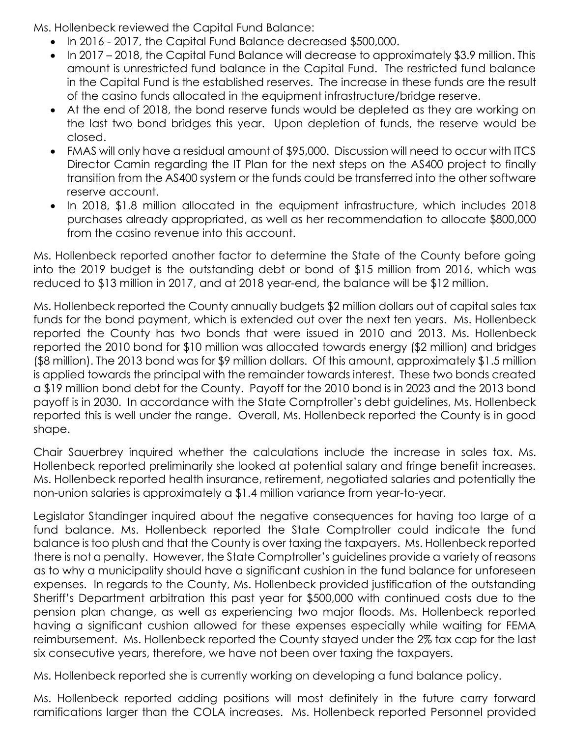Ms. Hollenbeck reviewed the Capital Fund Balance:

- In 2016 2017, the Capital Fund Balance decreased \$500,000.
- In 2017 2018, the Capital Fund Balance will decrease to approximately \$3.9 million. This amount is unrestricted fund balance in the Capital Fund. The restricted fund balance in the Capital Fund is the established reserves. The increase in these funds are the result of the casino funds allocated in the equipment infrastructure/bridge reserve.
- At the end of 2018, the bond reserve funds would be depleted as they are working on the last two bond bridges this year. Upon depletion of funds, the reserve would be closed.
- FMAS will only have a residual amount of \$95,000. Discussion will need to occur with ITCS Director Camin regarding the IT Plan for the next steps on the AS400 project to finally transition from the AS400 system or the funds could be transferred into the other software reserve account.
- In 2018, \$1.8 million allocated in the equipment infrastructure, which includes 2018 purchases already appropriated, as well as her recommendation to allocate \$800,000 from the casino revenue into this account.

Ms. Hollenbeck reported another factor to determine the State of the County before going into the 2019 budget is the outstanding debt or bond of \$15 million from 2016, which was reduced to \$13 million in 2017, and at 2018 year-end, the balance will be \$12 million.

Ms. Hollenbeck reported the County annually budgets \$2 million dollars out of capital sales tax funds for the bond payment, which is extended out over the next ten years. Ms. Hollenbeck reported the County has two bonds that were issued in 2010 and 2013. Ms. Hollenbeck reported the 2010 bond for \$10 million was allocated towards energy (\$2 million) and bridges (\$8 million). The 2013 bond was for \$9 million dollars. Of this amount, approximately \$1.5 million is applied towards the principal with the remainder towards interest. These two bonds created a \$19 million bond debt for the County. Payoff for the 2010 bond is in 2023 and the 2013 bond payoff is in 2030. In accordance with the State Comptroller's debt guidelines, Ms. Hollenbeck reported this is well under the range. Overall, Ms. Hollenbeck reported the County is in good shape.

Chair Sauerbrey inquired whether the calculations include the increase in sales tax. Ms. Hollenbeck reported preliminarily she looked at potential salary and fringe benefit increases. Ms. Hollenbeck reported health insurance, retirement, negotiated salaries and potentially the non-union salaries is approximately a \$1.4 million variance from year-to-year.

Legislator Standinger inquired about the negative consequences for having too large of a fund balance. Ms. Hollenbeck reported the State Comptroller could indicate the fund balance is too plush and that the County is over taxing the taxpayers. Ms. Hollenbeck reported there is not a penalty. However, the State Comptroller's guidelines provide a variety of reasons as to why a municipality should have a significant cushion in the fund balance for unforeseen expenses. In regards to the County, Ms. Hollenbeck provided justification of the outstanding Sheriff's Department arbitration this past year for \$500,000 with continued costs due to the pension plan change, as well as experiencing two major floods. Ms. Hollenbeck reported having a significant cushion allowed for these expenses especially while waiting for FEMA reimbursement. Ms. Hollenbeck reported the County stayed under the 2% tax cap for the last six consecutive years, therefore, we have not been over taxing the taxpayers.

Ms. Hollenbeck reported she is currently working on developing a fund balance policy.

Ms. Hollenbeck reported adding positions will most definitely in the future carry forward ramifications larger than the COLA increases. Ms. Hollenbeck reported Personnel provided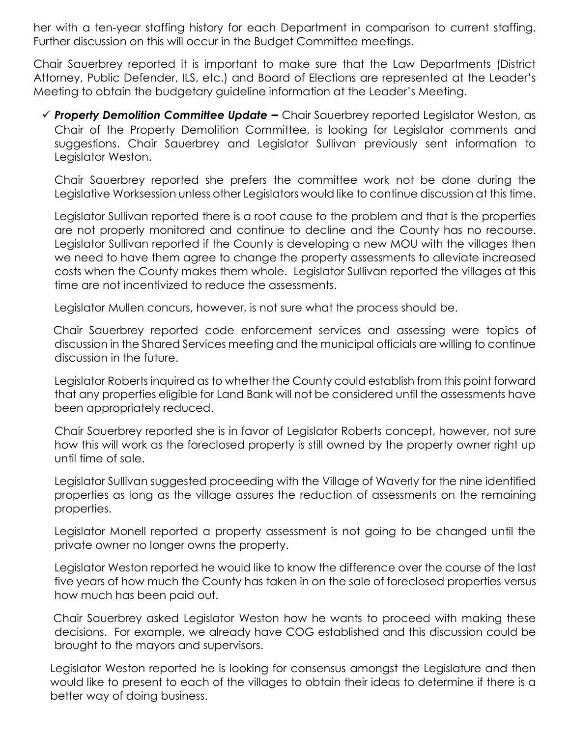her with a ten-year staffing history for each Department in comparison to current staffing. Further discussion on this will occur in the Budget Committee meetings.

Chair Sauerbrey reported it is important to make sure that the Law Departments (District Attorney, Public Defender, ILS, etc.) and Board of Elections are represented at the Leader's Meeting to obtain the budgetary guideline information at the Leader's Meeting.

 *Property Demolition Committee Update –* Chair Sauerbrey reported Legislator Weston, as Chair of the Property Demolition Committee, is looking for Legislator comments and suggestions. Chair Sauerbrey and Legislator Sullivan previously sent information to Legislator Weston.

Chair Sauerbrey reported she prefers the committee work not be done during the Legislative Worksession unless other Legislators would like to continue discussion at this time.

Legislator Sullivan reported there is a root cause to the problem and that is the properties are not properly monitored and continue to decline and the County has no recourse. Legislator Sullivan reported if the County is developing a new MOU with the villages then we need to have them agree to change the property assessments to alleviate increased costs when the County makes them whole. Legislator Sullivan reported the villages at this time are not incentivized to reduce the assessments.

Legislator Mullen concurs, however, is not sure what the process should be.

Chair Sauerbrey reported code enforcement services and assessing were topics of discussion in the Shared Services meeting and the municipal officials are willing to continue discussion in the future.

Legislator Roberts inquired as to whether the County could establish from this point forward that any properties eligible for Land Bank will not be considered until the assessments have been appropriately reduced.

Chair Sauerbrey reported she is in favor of Legislator Roberts concept, however, not sure how this will work as the foreclosed property is still owned by the property owner right up until time of sale.

Legislator Sullivan suggested proceeding with the Village of Waverly for the nine identified properties as long as the village assures the reduction of assessments on the remaining properties.

Legislator Monell reported a property assessment is not going to be changed until the private owner no longer owns the property.

Legislator Weston reported he would like to know the difference over the course of the last five years of how much the County has taken in on the sale of foreclosed properties versus how much has been paid out.

Chair Sauerbrey asked Legislator Weston how he wants to proceed with making these decisions. For example, we already have COG established and this discussion could be brought to the mayors and supervisors.

Legislator Weston reported he is looking for consensus amongst the Legislature and then would like to present to each of the villages to obtain their ideas to determine if there is a better way of doing business.